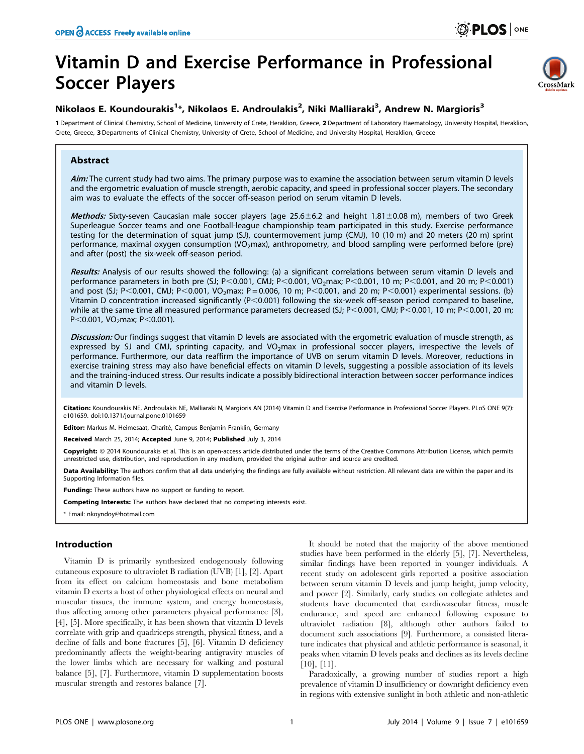# Vitamin D and Exercise Performance in Professional Soccer Players



# Nikolaos E. Koundourakis<sup>1</sup>\*, Nikolaos E. Androulakis<sup>2</sup>, Niki Malliaraki<sup>3</sup>, Andrew N. Margioris<sup>3</sup>

1 Department of Clinical Chemistry, School of Medicine, University of Crete, Heraklion, Greece, 2 Department of Laboratory Haematology, University Hospital, Heraklion, Crete, Greece, 3 Departments of Clinical Chemistry, University of Crete, School of Medicine, and University Hospital, Heraklion, Greece

# Abstract

Aim: The current study had two aims. The primary purpose was to examine the association between serum vitamin D levels and the ergometric evaluation of muscle strength, aerobic capacity, and speed in professional soccer players. The secondary aim was to evaluate the effects of the soccer off-season period on serum vitamin D levels.

Methods: Sixty-seven Caucasian male soccer players (age  $25.6\pm6.2$  and height 1.81 $\pm$ 0.08 m), members of two Greek Superleague Soccer teams and one Football-league championship team participated in this study. Exercise performance testing for the determination of squat jump (SJ), countermovement jump (CMJ), 10 (10 m) and 20 meters (20 m) sprint performance, maximal oxygen consumption (VO<sub>2</sub>max), anthropometry, and blood sampling were performed before (pre) and after (post) the six-week off-season period.

Results: Analysis of our results showed the following: (a) a significant correlations between serum vitamin D levels and performance parameters in both pre (SJ; P<0.001, CMJ; P<0.001, VO<sub>2</sub>max; P<0.001, 10 m; P<0.001, and 20 m; P<0.001) and post (SJ; P<0.001, CMJ; P<0.001, VO<sub>2</sub>max; P = 0.006, 10 m; P<0.001, and 20 m; P<0.001) experimental sessions. (b) Vitamin D concentration increased significantly ( $P<0.001$ ) following the six-week off-season period compared to baseline, while at the same time all measured performance parameters decreased (SJ; P<0.001, CMJ; P<0.001, 10 m; P<0.001, 20 m; P $<$ 0.001, VO<sub>2</sub>max; P $<$ 0.001).

Discussion: Our findings suggest that vitamin D levels are associated with the ergometric evaluation of muscle strength, as expressed by SJ and CMJ, sprinting capacity, and VO<sub>2</sub>max in professional soccer players, irrespective the levels of performance. Furthermore, our data reaffirm the importance of UVB on serum vitamin D levels. Moreover, reductions in exercise training stress may also have beneficial effects on vitamin D levels, suggesting a possible association of its levels and the training-induced stress. Our results indicate a possibly bidirectional interaction between soccer performance indices and vitamin D levels.

Citation: Koundourakis NE, Androulakis NE, Malliaraki N, Margioris AN (2014) Vitamin D and Exercise Performance in Professional Soccer Players. PLoS ONE 9(7): e101659. doi:10.1371/journal.pone.0101659

Editor: Markus M. Heimesaat, Charité, Campus Benjamin Franklin, Germany

Received March 25, 2014; Accepted June 9, 2014; Published July 3, 2014

Copyright: © 2014 Koundourakis et al. This is an open-access article distributed under the terms of the [Creative Commons Attribution License](http://creativecommons.org/licenses/by/4.0/), which permits unrestricted use, distribution, and reproduction in any medium, provided the original author and source are credited.

Data Availability: The authors confirm that all data underlying the findings are fully available without restriction. All relevant data are within the paper and its Supporting Information files.

Funding: These authors have no support or funding to report.

Competing Interests: The authors have declared that no competing interests exist.

\* Email: nkoyndoy@hotmail.com

# Introduction

Vitamin D is primarily synthesized endogenously following cutaneous exposure to ultraviolet B radiation (UVB) [1], [2]. Apart from its effect on calcium homeostasis and bone metabolism vitamin D exerts a host of other physiological effects on neural and muscular tissues, the immune system, and energy homeostasis, thus affecting among other parameters physical performance [3], [4], [5]. More specifically, it has been shown that vitamin D levels correlate with grip and quadriceps strength, physical fitness, and a decline of falls and bone fractures [5], [6]. Vitamin D deficiency predominantly affects the weight-bearing antigravity muscles of the lower limbs which are necessary for walking and postural balance [5], [7]. Furthermore, vitamin D supplementation boosts muscular strength and restores balance [7].

It should be noted that the majority of the above mentioned studies have been performed in the elderly [5], [7]. Nevertheless, similar findings have been reported in younger individuals. A recent study on adolescent girls reported a positive association between serum vitamin D levels and jump height, jump velocity, and power [2]. Similarly, early studies on collegiate athletes and students have documented that cardiovascular fitness, muscle endurance, and speed are enhanced following exposure to ultraviolet radiation [8], although other authors failed to document such associations [9]. Furthermore, a consisted literature indicates that physical and athletic performance is seasonal, it peaks when vitamin D levels peaks and declines as its levels decline [10], [11].

Paradoxically, a growing number of studies report a high prevalence of vitamin D insufficiency or downright deficiency even in regions with extensive sunlight in both athletic and non-athletic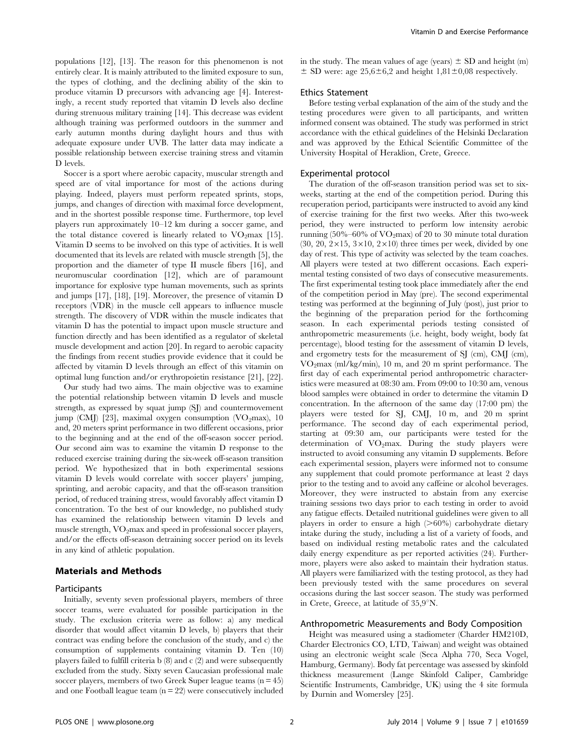populations [12], [13]. The reason for this phenomenon is not entirely clear. It is mainly attributed to the limited exposure to sun, the types of clothing, and the declining ability of the skin to produce vitamin D precursors with advancing age [4]. Interestingly, a recent study reported that vitamin D levels also decline during strenuous military training [14]. This decrease was evident although training was performed outdoors in the summer and early autumn months during daylight hours and thus with adequate exposure under UVB. The latter data may indicate a possible relationship between exercise training stress and vitamin D levels.

Soccer is a sport where aerobic capacity, muscular strength and speed are of vital importance for most of the actions during playing. Indeed, players must perform repeated sprints, stops, jumps, and changes of direction with maximal force development, and in the shortest possible response time. Furthermore, top level players run approximately 10–12 km during a soccer game, and the total distance covered is linearly related to  $VO<sub>2</sub>max$  [15]. Vitamin D seems to be involved on this type of activities. It is well documented that its levels are related with muscle strength [5], the proportion and the diameter of type II muscle fibers [16], and neuromuscular coordination [12], which are of paramount importance for explosive type human movements, such as sprints and jumps [17], [18], [19]. Moreover, the presence of vitamin D receptors (VDR) in the muscle cell appears to influence muscle strength. The discovery of VDR within the muscle indicates that vitamin D has the potential to impact upon muscle structure and function directly and has been identified as a regulator of skeletal muscle development and action [20]. In regard to aerobic capacity the findings from recent studies provide evidence that it could be affected by vitamin D levels through an effect of this vitamin on optimal lung function and/or erythropoietin resistance [21], [22].

Our study had two aims. The main objective was to examine the potential relationship between vitamin D levels and muscle strength, as expressed by squat jump (SJ) and countermovement jump (CMJ) [23], maximal oxygen consumption  $(VO<sub>2</sub>max)$ , 10 and, 20 meters sprint performance in two different occasions, prior to the beginning and at the end of the off-season soccer period. Our second aim was to examine the vitamin D response to the reduced exercise training during the six-week off-season transition period. We hypothesized that in both experimental sessions vitamin D levels would correlate with soccer players' jumping, sprinting, and aerobic capacity, and that the off-season transition period, of reduced training stress, would favorably affect vitamin D concentration. To the best of our knowledge, no published study has examined the relationship between vitamin D levels and muscle strength, VO2max and speed in professional soccer players, and/or the effects off-season detraining soccer period on its levels in any kind of athletic population.

## Materials and Methods

# Participants

Initially, seventy seven professional players, members of three soccer teams, were evaluated for possible participation in the study. The exclusion criteria were as follow: a) any medical disorder that would affect vitamin D levels, b) players that their contract was ending before the conclusion of the study, and c) the consumption of supplements containing vitamin D. Ten (10) players failed to fulfill criteria b  $(8)$  and c  $(2)$  and were subsequently excluded from the study. Sixty seven Caucasian professional male soccer players, members of two Greek Super league teams  $(n = 45)$ and one Football league team  $(n = 22)$  were consecutively included

in the study. The mean values of age (years)  $\pm$  SD and height (m)  $\pm$  SD were: age 25,6 $\pm$ 6,2 and height 1,81 $\pm$ 0,08 respectively.

#### Ethics Statement

Before testing verbal explanation of the aim of the study and the testing procedures were given to all participants, and written informed consent was obtained. The study was performed in strict accordance with the ethical guidelines of the Helsinki Declaration and was approved by the Ethical Scientific Committee of the University Hospital of Heraklion, Crete, Greece.

#### Experimental protocol

The duration of the off-season transition period was set to sixweeks, starting at the end of the competition period. During this recuperation period, participants were instructed to avoid any kind of exercise training for the first two weeks. After this two-week period, they were instructed to perform low intensity aerobic running (50%–60% of  $VO<sub>2</sub>max$ ) of 20 to 30 minute total duration  $(30, 20, 2 \times 15, 3 \times 10, 2 \times 10)$  three times per week, divided by one day of rest. This type of activity was selected by the team coaches. All players were tested at two different occasions. Each experimental testing consisted of two days of consecutive measurements. The first experimental testing took place immediately after the end of the competition period in May (pre). The second experimental testing was performed at the beginning of July (post), just prior to the beginning of the preparation period for the forthcoming season. In each experimental periods testing consisted of anthropometric measurements (i.e. height, body weight, body fat percentage), blood testing for the assessment of vitamin D levels, and ergometry tests for the measurement of SJ (cm), CMJ (cm), VO2max (ml/kg/min), 10 m, and 20 m sprint performance. The first day of each experimental period anthropometric characteristics were measured at 08:30 am. From 09:00 to 10:30 am, venous blood samples were obtained in order to determine the vitamin D concentration. In the afternoon of the same day (17:00 pm) the players were tested for SJ, CMJ, 10 m, and 20 m sprint performance. The second day of each experimental period, starting at 09:30 am, our participants were tested for the determination of  $VO<sub>2</sub>max$ . During the study players were instructed to avoid consuming any vitamin D supplements. Before each experimental session, players were informed not to consume any supplement that could promote performance at least 2 days prior to the testing and to avoid any caffeine or alcohol beverages. Moreover, they were instructed to abstain from any exercise training sessions two days prior to each testing in order to avoid any fatigue effects. Detailed nutritional guidelines were given to all players in order to ensure a high  $($ >60%) carbohydrate dietary intake during the study, including a list of a variety of foods, and based on individual resting metabolic rates and the calculated daily energy expenditure as per reported activities (24). Furthermore, players were also asked to maintain their hydration status. All players were familiarized with the testing protocol, as they had been previously tested with the same procedures on several occasions during the last soccer season. The study was performed in Crete, Greece, at latitude of  $35,9^{\circ}N$ .

#### Anthropometric Measurements and Body Composition

Height was measured using a stadiometer (Charder HM210D, Charder Electronics CO, LTD, Taiwan) and weight was obtained using an electronic weight scale (Seca Alpha 770, Seca Vogel, Hamburg, Germany). Body fat percentage was assessed by skinfold thickness measurement (Lange Skinfold Caliper, Cambridge Scientific Instruments, Cambridge, UK) using the 4 site formula by Durnin and Womersley [25].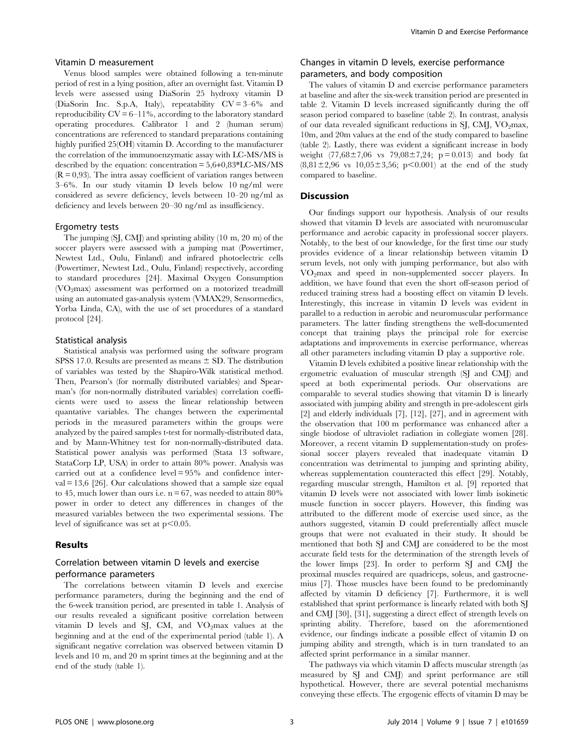#### Vitamin D measurement

Venus blood samples were obtained following a ten-minute period of rest in a lying position, after an overnight fast. Vitamin D levels were assessed using DiaSorin 25 hydroxy vitamin D (DiaSorin Inc. S.p.A, Italy), repeatability CV = 3–6% and reproducibility  $CV = 6-11\%$ , according to the laboratory standard operating procedures. Calibrator 1 and 2 (human serum) concentrations are referenced to standard preparations containing highly purified 25(OH) vitamin D. According to the manufacturer the correlation of the immunoenzymatic assay with LC-MS/MS is described by the equation: concentration = 5,6+0,83\*LC-MS/MS  $(R = 0.93)$ . The intra assay coefficient of variation ranges between 3–6%. In our study vitamin D levels below 10 ng/ml were considered as severe deficiency, levels between 10–20 ng/ml as deficiency and levels between 20–30 ng/ml as insufficiency.

#### Ergometry tests

The jumping (SJ, CMJ) and sprinting ability (10 m, 20 m) of the soccer players were assessed with a jumping mat (Powertimer, Newtest Ltd., Oulu, Finland) and infrared photoelectric cells (Powertimer, Newtest Ltd., Oulu, Finland) respectively, according to standard procedures [24]. Maximal Oxygen Consumption  $(VO<sub>2</sub>)$  assessment was performed on a motorized treadmill using an automated gas-analysis system (VMAX29, Sensormedics, Yorba Linda, CA), with the use of set procedures of a standard protocol [24].

#### Statistical analysis

Statistical analysis was performed using the software program SPSS 17.0. Results are presented as means  $\pm$  SD. The distribution of variables was tested by the Shapiro-Wilk statistical method. Then, Pearson's (for normally distributed variables) and Spearman's (for non-normally distributed variables) correlation coefficients were used to assess the linear relationship between quantative variables. The changes between the experimental periods in the measured parameters within the groups were analyzed by the paired samples t-test for normally-distributed data, and by Mann-Whitney test for non-normally-distributed data. Statistical power analysis was performed (Stata 13 software, StataCorp LP, USA) in order to attain 80% power. Analysis was carried out at a confidence level = 95% and confidence interval  $= 13,6$  [26]. Our calculations showed that a sample size equal to 45, much lower than ours i.e.  $n = 67$ , was needed to attain 80% power in order to detect any differences in changes of the measured variables between the two experimental sessions. The level of significance was set at  $p<0.05$ .

#### Results

# Correlation between vitamin D levels and exercise performance parameters

The correlations between vitamin D levels and exercise performance parameters, during the beginning and the end of the 6-week transition period, are presented in table 1. Analysis of our results revealed a significant positive correlation between vitamin  $D$  levels and SJ, CM, and VO<sub>2</sub>max values at the beginning and at the end of the experimental period (table 1). A significant negative correlation was observed between vitamin D levels and 10 m, and 20 m sprint times at the beginning and at the end of the study (table 1).

# Changes in vitamin D levels, exercise performance parameters, and body composition

The values of vitamin D and exercise performance parameters at baseline and after the six-week transition period are presented in table 2. Vitamin D levels increased significantly during the off season period compared to baseline (table 2). In contrast, analysis of our data revealed significant reductions in SJ, CMJ,  $VO<sub>2</sub>max$ , 10m, and 20m values at the end of the study compared to baseline (table 2). Lastly, there was evident a significant increase in body weight  $(77,68\pm7,06 \text{ vs } 79,08\pm7,24; \text{ p} = 0.013)$  and body fat  $(8,81\pm2,96 \text{ vs } 10,05\pm3,56; \text{ p} < 0.001)$  at the end of the study compared to baseline.

#### Discussion

Our findings support our hypothesis. Analysis of our results showed that vitamin D levels are associated with neuromuscular performance and aerobic capacity in professional soccer players. Notably, to the best of our knowledge, for the first time our study provides evidence of a linear relationship between vitamin D serum levels, not only with jumping performance, but also with VO2max and speed in non-supplemented soccer players. In addition, we have found that even the short off-season period of reduced training stress had a boosting effect on vitamin D levels. Interestingly, this increase in vitamin D levels was evident in parallel to a reduction in aerobic and neuromuscular performance parameters. The latter finding strengthens the well-documented concept that training plays the principal role for exercise adaptations and improvements in exercise performance, whereas all other parameters including vitamin D play a supportive role.

Vitamin D levels exhibited a positive linear relationship with the ergometric evaluation of muscular strength (SJ and CMJ) and speed at both experimental periods. Our observations are comparable to several studies showing that vitamin D is linearly associated with jumping ability and strength in pre-adolescent girls [2] and elderly individuals [7], [12], [27], and in agreement with the observation that 100 m performance was enhanced after a single biodose of ultraviolet radiation in collegiate women [28]. Moreover, a recent vitamin D supplementation-study on professional soccer players revealed that inadequate vitamin D concentration was detrimental to jumping and sprinting ability, whereas supplementation counteracted this effect [29]. Notably, regarding muscular strength, Hamilton et al. [9] reported that vitamin D levels were not associated with lower limb isokinetic muscle function in soccer players. However, this finding was attributed to the different mode of exercise used since, as the authors suggested, vitamin D could preferentially affect muscle groups that were not evaluated in their study. It should be mentioned that both SJ and CMJ are considered to be the most accurate field tests for the determination of the strength levels of the lower limps [23]. In order to perform SJ and CMJ the proximal muscles required are quadriceps, soleus, and gastrocnemius [7]. Those muscles have been found to be predominantly affected by vitamin D deficiency [7]. Furthermore, it is well established that sprint performance is linearly related with both SJ and CMJ [30], [31], suggesting a direct effect of strength levels on sprinting ability. Therefore, based on the aforementioned evidence, our findings indicate a possible effect of vitamin D on jumping ability and strength, which is in turn translated to an affected sprint performance in a similar manner.

The pathways via which vitamin D affects muscular strength (as measured by SJ and CMJ) and sprint performance are still hypothetical. However, there are several potential mechanisms conveying these effects. The ergogenic effects of vitamin D may be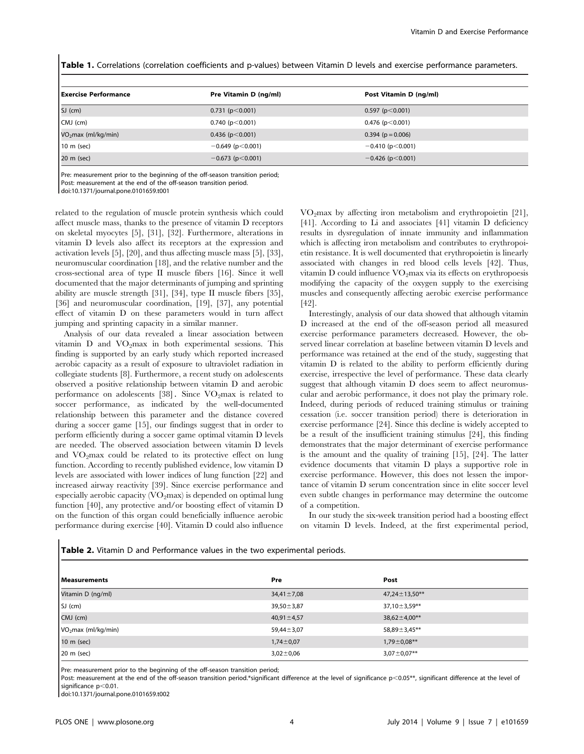Table 1. Correlations (correlation coefficients and p-values) between Vitamin D levels and exercise performance parameters.

| Exercise Performance            | Pre Vitamin D (ng/ml)   | Post Vitamin D (ng/ml)  |
|---------------------------------|-------------------------|-------------------------|
| $SJ$ (cm)                       | 0.731(p<0.001)          | $0.597$ (p $< 0.001$ )  |
| $CMJ$ (cm)                      | $0.740$ (p $<$ 0.001)   | $0.476$ (p $< 0.001$ )  |
| VO <sub>2</sub> max (ml/kg/min) | 0.436 ( $p < 0.001$ )   | $0.394$ ( $p = 0.006$ ) |
| 10 m (sec)                      | $-0.649$ (p $< 0.001$ ) | $-0.410$ (p $< 0.001$ ) |
| 20 m (sec)                      | $-0.673$ (p $< 0.001$ ) | $-0.426$ (p $< 0.001$ ) |

Pre: measurement prior to the beginning of the off-season transition period; Post: measurement at the end of the off-season transition period. doi:10.1371/journal.pone.0101659.t001

related to the regulation of muscle protein synthesis which could affect muscle mass, thanks to the presence of vitamin D receptors on skeletal myocytes [5], [31], [32]. Furthermore, alterations in vitamin D levels also affect its receptors at the expression and activation levels [5], [20], and thus affecting muscle mass [5], [33], neuromuscular coordination [18], and the relative number and the cross-sectional area of type II muscle fibers [16]. Since it well documented that the major determinants of jumping and sprinting ability are muscle strength [31], [34], type II muscle fibers [35], [36] and neuromuscular coordination, [19], [37], any potential effect of vitamin D on these parameters would in turn affect jumping and sprinting capacity in a similar manner.

Analysis of our data revealed a linear association between vitamin  $D$  and  $VO<sub>2</sub>max$  in both experimental sessions. This finding is supported by an early study which reported increased aerobic capacity as a result of exposure to ultraviolet radiation in collegiate students [8]. Furthermore, a recent study on adolescents observed a positive relationship between vitamin D and aerobic performance on adolescents  $[38]$ . Since VO<sub>2</sub>max is related to soccer performance, as indicated by the well-documented relationship between this parameter and the distance covered during a soccer game [15], our findings suggest that in order to perform efficiently during a soccer game optimal vitamin D levels are needed. The observed association between vitamin D levels and  $VO<sub>2</sub>max$  could be related to its protective effect on lung function. According to recently published evidence, low vitamin D levels are associated with lower indices of lung function [22] and increased airway reactivity [39]. Since exercise performance and especially aerobic capacity  $\langle VO_2 \rangle$  is depended on optimal lung function [40], any protective and/or boosting effect of vitamin D on the function of this organ could beneficially influence aerobic performance during exercise [40]. Vitamin D could also influence

 $VO<sub>2</sub>max$  by affecting iron metabolism and erythropoietin [21], [41]. According to Li and associates [41] vitamin D deficiency results in dysregulation of innate immunity and inflammation which is affecting iron metabolism and contributes to erythropoietin resistance. It is well documented that erythropoietin is linearly associated with changes in red blood cells levels [42]. Thus, vitamin D could influence  $VO<sub>2</sub>$  max via its effects on erythropoesis modifying the capacity of the oxygen supply to the exercising muscles and consequently affecting aerobic exercise performance [42].

Interestingly, analysis of our data showed that although vitamin D increased at the end of the off-season period all measured exercise performance parameters decreased. However, the observed linear correlation at baseline between vitamin D levels and performance was retained at the end of the study, suggesting that vitamin D is related to the ability to perform efficiently during exercise, irrespective the level of performance. These data clearly suggest that although vitamin D does seem to affect neuromuscular and aerobic performance, it does not play the primary role. Indeed, during periods of reduced training stimulus or training cessation (i.e. soccer transition period) there is deterioration in exercise performance [24]. Since this decline is widely accepted to be a result of the insufficient training stimulus [24], this finding demonstrates that the major determinant of exercise performance is the amount and the quality of training [15], [24]. The latter evidence documents that vitamin D plays a supportive role in exercise performance. However, this does not lessen the importance of vitamin D serum concentration since in elite soccer level even subtle changes in performance may determine the outcome of a competition.

In our study the six-week transition period had a boosting effect on vitamin D levels. Indeed, at the first experimental period,

Table 2. Vitamin D and Performance values in the two experimental periods.

| <b>I</b> Measurements           | Pre              | Post                |
|---------------------------------|------------------|---------------------|
| Vitamin D (ng/ml)               | $34,41 \pm 7,08$ | $47,24 \pm 13,50**$ |
| $SJ$ (cm)                       | $39,50 \pm 3,87$ | $37,10 \pm 3,59**$  |
| $CMJ$ (cm)                      | $40,91 \pm 4,57$ | $38,62 \pm 4,00**$  |
| VO <sub>2</sub> max (ml/kg/min) | $59,44 \pm 3,07$ | 58,89±3,45**        |
| 10 m (sec)                      | $1,74 \pm 0.07$  | $1,79 \pm 0,08$ **  |
| 20 m (sec)                      | $3,02 \pm 0,06$  | $3,07 \pm 0,07$ **  |

Pre: measurement prior to the beginning of the off-season transition period;

Post: measurement at the end of the off-season transition period.\*significant difference at the level of significance p<0.05\*\*, significant difference at the level of significance  $p<0.01$ .

doi:10.1371/journal.pone.0101659.t002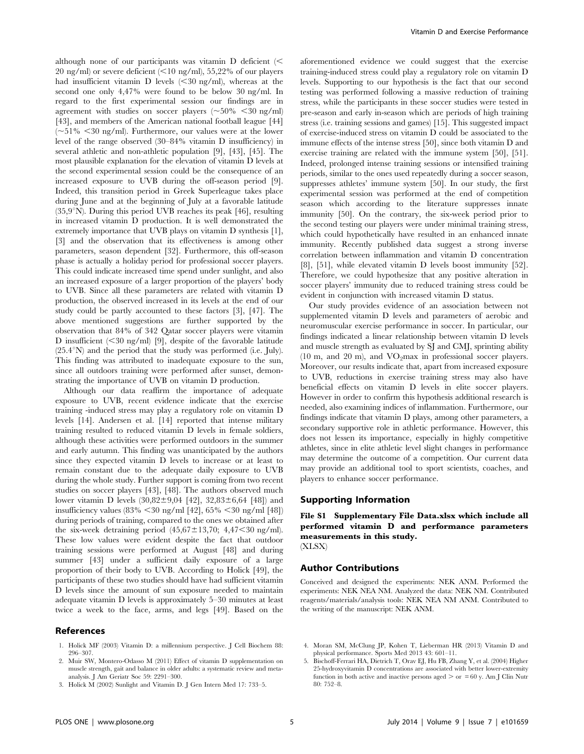although none of our participants was vitamin  $D$  deficient ( $\leq$ 20 ng/ml) or severe deficient  $(<10$  ng/ml), 55,22% of our players had insufficient vitamin  $D$  levels  $( $30 \text{ ng/ml}$ , whereas at the$ second one only 4,47% were found to be below 30 ng/ml. In regard to the first experimental session our findings are in agreement with studies on soccer players ( $\sim$ 50%  $<$ 30 ng/ml) [43], and members of the American national football league [44]  $(-51\% \leq 30 \text{ ng/ml})$ . Furthermore, our values were at the lower level of the range observed (30–84% vitamin D insufficiency) in several athletic and non-athletic population [9], [43], [45]. The most plausible explanation for the elevation of vitamin D levels at the second experimental session could be the consequence of an increased exposure to UVB during the off-season period [9]. Indeed, this transition period in Greek Superleague takes place during June and at the beginning of July at a favorable latitude  $(35.9^{\circ}N)$ . During this period UVB reaches its peak [46], resulting in increased vitamin D production. It is well demonstrated the extremely importance that UVB plays on vitamin D synthesis [1], [3] and the observation that its effectiveness is among other parameters, season dependent [32]. Furthermore, this off-season phase is actually a holiday period for professional soccer players. This could indicate increased time spend under sunlight, and also an increased exposure of a larger proportion of the players' body to UVB. Since all these parameters are related with vitamin D production, the observed increased in its levels at the end of our study could be partly accounted to these factors [3], [47]. The above mentioned suggestions are further supported by the observation that 84% of 342 Qatar soccer players were vitamin D insufficient  $\langle$  <30 ng/ml) [9], despite of the favorable latitude  $(25.4°N)$  and the period that the study was performed (i.e. July). This finding was attributed to inadequate exposure to the sun, since all outdoors training were performed after sunset, demonstrating the importance of UVB on vitamin D production.

Although our data reaffirm the importance of adequate exposure to UVB, recent evidence indicate that the exercise training -induced stress may play a regulatory role on vitamin D levels [14]. Andersen et al. [14] reported that intense military training resulted to reduced vitamin D levels in female soldiers, although these activities were performed outdoors in the summer and early autumn. This finding was unanticipated by the authors since they expected vitamin D levels to increase or at least to remain constant due to the adequate daily exposure to UVB during the whole study. Further support is coming from two recent studies on soccer players [43], [48]. The authors observed much lower vitamin D levels  $(30,82 \pm 9,04)$  [42],  $32,83 \pm 6,64$  [48]) and insufficiency values  $(83\% \le 30 \text{ ng/ml } [42]$ ,  $65\% \le 30 \text{ ng/ml } [48]$ ) during periods of training, compared to the ones we obtained after the six-week detraining period  $(45,67 \pm 13,70; 4,47 \le 30$  ng/ml). These low values were evident despite the fact that outdoor training sessions were performed at August [48] and during summer [43] under a sufficient daily exposure of a large proportion of their body to UVB. According to Holick [49], the participants of these two studies should have had sufficient vitamin D levels since the amount of sun exposure needed to maintain adequate vitamin D levels is approximately 5–30 minutes at least twice a week to the face, arms, and legs [49]. Based on the

## References

- 1. Holick MF (2003) Vitamin D: a millennium perspective. J Cell Biochem 88: 296–307.
- 2. Muir SW, Montero-Odasso M (2011) Effect of vitamin D supplementation on muscle strength, gait and balance in older adults: a systematic review and metaanalysis. J Am Geriatr Soc 59: 2291–300.

aforementioned evidence we could suggest that the exercise training-induced stress could play a regulatory role on vitamin D levels. Supporting to our hypothesis is the fact that our second testing was performed following a massive reduction of training stress, while the participants in these soccer studies were tested in pre-season and early in-season which are periods of high training stress (i.e. training sessions and games) [15]. This suggested impact of exercise-induced stress on vitamin D could be associated to the immune effects of the intense stress [50], since both vitamin D and exercise training are related with the immune system [50], [51]. Indeed, prolonged intense training sessions or intensified training periods, similar to the ones used repeatedly during a soccer season, suppresses athletes' immune system [50]. In our study, the first experimental session was performed at the end of competition season which according to the literature suppresses innate immunity [50]. On the contrary, the six-week period prior to the second testing our players were under minimal training stress, which could hypothetically have resulted in an enhanced innate immunity. Recently published data suggest a strong inverse correlation between inflammation and vitamin D concentration [8], [51], while elevated vitamin D levels boost immunity [52]. Therefore, we could hypothesize that any positive alteration in soccer players' immunity due to reduced training stress could be evident in conjunction with increased vitamin D status.

Our study provides evidence of an association between not supplemented vitamin D levels and parameters of aerobic and neuromuscular exercise performance in soccer. In particular, our findings indicated a linear relationship between vitamin D levels and muscle strength as evaluated by SJ and CMJ, sprinting ability  $(10 \text{ m}, \text{ and } 20 \text{ m})$ , and VO<sub>2</sub>max in professional soccer players. Moreover, our results indicate that, apart from increased exposure to UVB, reductions in exercise training stress may also have beneficial effects on vitamin D levels in elite soccer players. However in order to confirm this hypothesis additional research is needed, also examining indices of inflammation. Furthermore, our findings indicate that vitamin D plays, among other parameters, a secondary supportive role in athletic performance. However, this does not lessen its importance, especially in highly competitive athletes, since in elite athletic level slight changes in performance may determine the outcome of a competition. Our current data may provide an additional tool to sport scientists, coaches, and players to enhance soccer performance.

#### Supporting Information

File S1 Supplementary File Data.xlsx which include all performed vitamin D and performance parameters measurements in this study. (XLSX)

#### Author Contributions

Conceived and designed the experiments: NEK ANM. Performed the experiments: NEK NEA NM. Analyzed the data: NEK NM. Contributed reagents/materials/analysis tools: NEK NEA NM ANM. Contributed to the writing of the manuscript: NEK ANM.

- 4. Moran SM, McClung JP, Kohen T, Lieberman HR (2013) Vitamin D and physical performance. Sports Med 2013 43: 601–11.
- 5. Bischoff-Ferrari HA, Dietrich T, Orav EJ, Hu FB, Zhang Y, et al. (2004) Higher 25-hydroxyvitamin D concentrations are associated with better lower-extremity function in both active and inactive persons aged  $>$  or  $= 60$  y. Am J Clin Nutr 80: 752–8.